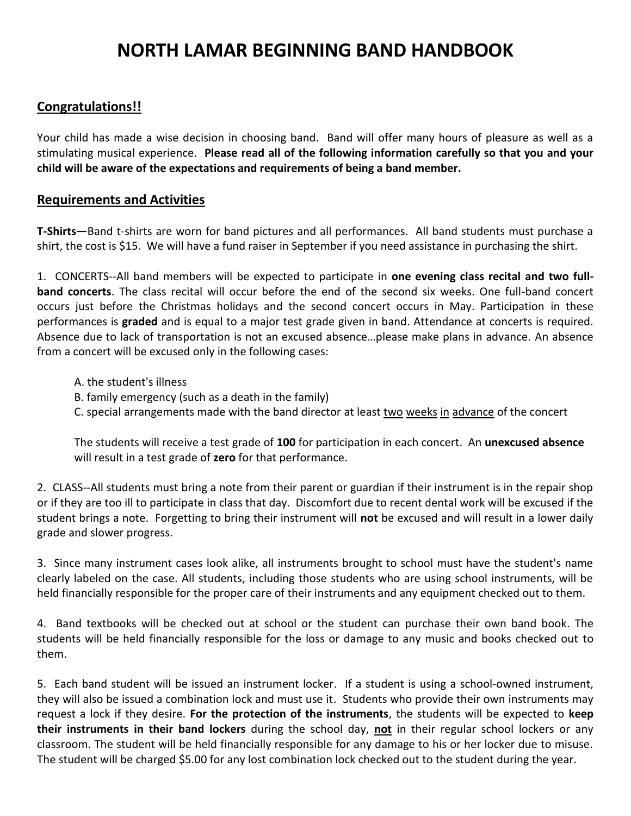# **NORTH LAMAR BEGINNING BAND HANDBOOK**

# **Congratulations!!**

Your child has made a wise decision in choosing band. Band will offer many hours of pleasure as well as a stimulating musical experience. **Please read all of the following information carefully so that you and your child will be aware of the expectations and requirements of being a band member.**

# **Requirements and Activities**

**T-Shirts**—Band t-shirts are worn for band pictures and all performances. All band students must purchase a shirt, the cost is \$15. We will have a fund raiser in September if you need assistance in purchasing the shirt.

1. CONCERTS--All band members will be expected to participate in **one evening class recital and two fullband concerts**. The class recital will occur before the end of the second six weeks. One full-band concert occurs just before the Christmas holidays and the second concert occurs in May. Participation in these performances is **graded** and is equal to a major test grade given in band. Attendance at concerts is required. Absence due to lack of transportation is not an excused absence…please make plans in advance. An absence from a concert will be excused only in the following cases:

- A. the student's illness
- B. family emergency (such as a death in the family)
- C. special arrangements made with the band director at least two weeks in advance of the concert

The students will receive a test grade of **100** for participation in each concert. An **unexcused absence** will result in a test grade of **zero** for that performance.

2. CLASS--All students must bring a note from their parent or guardian if their instrument is in the repair shop or if they are too ill to participate in class that day. Discomfort due to recent dental work will be excused if the student brings a note. Forgetting to bring their instrument will **not** be excused and will result in a lower daily grade and slower progress.

3. Since many instrument cases look alike, all instruments brought to school must have the student's name clearly labeled on the case. All students, including those students who are using school instruments, will be held financially responsible for the proper care of their instruments and any equipment checked out to them.

4. Band textbooks will be checked out at school or the student can purchase their own band book. The students will be held financially responsible for the loss or damage to any music and books checked out to them.

5. Each band student will be issued an instrument locker. If a student is using a school-owned instrument, they will also be issued a combination lock and must use it. Students who provide their own instruments may request a lock if they desire. **For the protection of the instruments**, the students will be expected to **keep their instruments in their band lockers** during the school day, **not** in their regular school lockers or any classroom. The student will be held financially responsible for any damage to his or her locker due to misuse. The student will be charged \$5.00 for any lost combination lock checked out to the student during the year.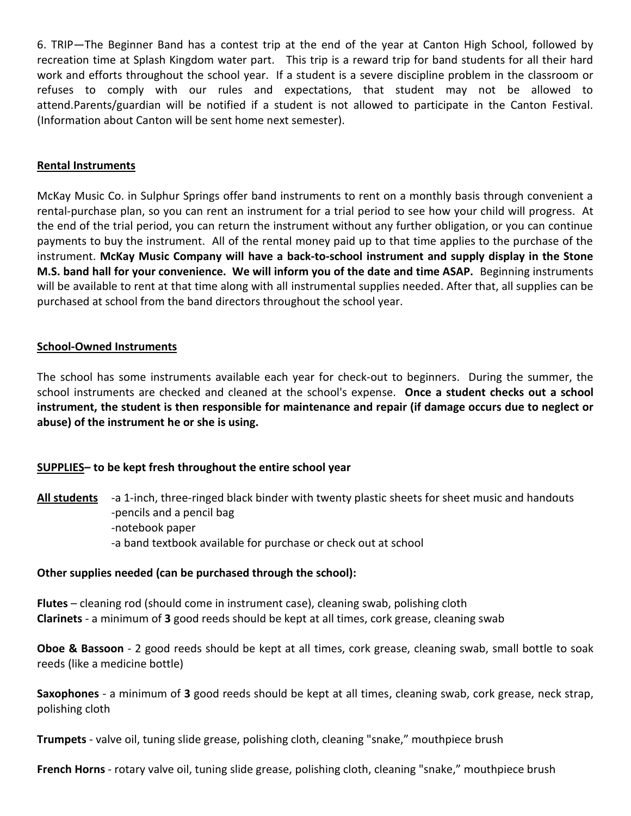6. TRIP—The Beginner Band has a contest trip at the end of the year at Canton High School, followed by recreation time at Splash Kingdom water part. This trip is a reward trip for band students for all their hard work and efforts throughout the school year. If a student is a severe discipline problem in the classroom or refuses to comply with our rules and expectations, that student may not be allowed to attend.Parents/guardian will be notified if a student is not allowed to participate in the Canton Festival. (Information about Canton will be sent home next semester).

#### **Rental Instruments**

McKay Music Co. in Sulphur Springs offer band instruments to rent on a monthly basis through convenient a rental-purchase plan, so you can rent an instrument for a trial period to see how your child will progress. At the end of the trial period, you can return the instrument without any further obligation, or you can continue payments to buy the instrument. All of the rental money paid up to that time applies to the purchase of the instrument. **McKay Music Company will have a back-to-school instrument and supply display in the Stone M.S. band hall for your convenience. We will inform you of the date and time ASAP.** Beginning instruments will be available to rent at that time along with all instrumental supplies needed. After that, all supplies can be purchased at school from the band directors throughout the school year.

#### **School-Owned Instruments**

The school has some instruments available each year for check-out to beginners. During the summer, the school instruments are checked and cleaned at the school's expense. **Once a student checks out a school instrument, the student is then responsible for maintenance and repair (if damage occurs due to neglect or abuse) of the instrument he or she is using.**

# **SUPPLIES– to be kept fresh throughout the entire school year**

All **students** -a 1-inch, three-ringed black binder with twenty plastic sheets for sheet music and handouts -pencils and a pencil bag -notebook paper -a band textbook available for purchase or check out at school

#### **Other supplies needed (can be purchased through the school):**

**Flutes** – cleaning rod (should come in instrument case), cleaning swab, polishing cloth **Clarinets** - a minimum of **3** good reeds should be kept at all times, cork grease, cleaning swab

**Oboe & Bassoon** - 2 good reeds should be kept at all times, cork grease, cleaning swab, small bottle to soak reeds (like a medicine bottle)

**Saxophones** - a minimum of **3** good reeds should be kept at all times, cleaning swab, cork grease, neck strap, polishing cloth

**Trumpets** - valve oil, tuning slide grease, polishing cloth, cleaning "snake," mouthpiece brush

**French Horns** - rotary valve oil, tuning slide grease, polishing cloth, cleaning "snake," mouthpiece brush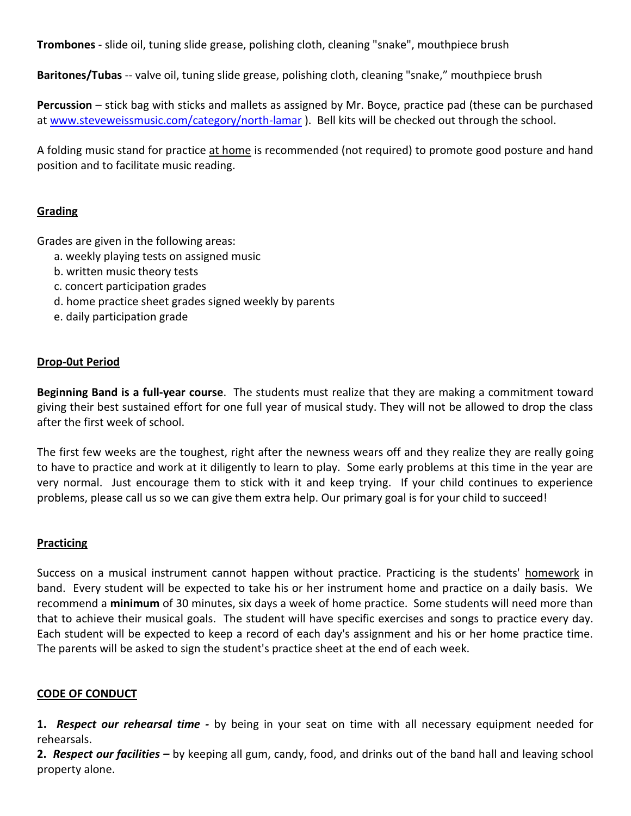**Trombones** - slide oil, tuning slide grease, polishing cloth, cleaning "snake", mouthpiece brush

**Baritones/Tubas** -- valve oil, tuning slide grease, polishing cloth, cleaning "snake," mouthpiece brush

**Percussion** – stick bag with sticks and mallets as assigned by Mr. Boyce, practice pad (these can be purchased at [www.steveweissmusic.com/category/north-lamar](http://www.steveweissmusic.com/category/north-lamar) ). Bell kits will be checked out through the school.

A folding music stand for practice at home is recommended (not required) to promote good posture and hand position and to facilitate music reading.

# **Grading**

Grades are given in the following areas:

- a. weekly playing tests on assigned music
- b. written music theory tests
- c. concert participation grades
- d. home practice sheet grades signed weekly by parents
- e. daily participation grade

# **Drop-0ut Period**

**Beginning Band is a full-year course**. The students must realize that they are making a commitment toward giving their best sustained effort for one full year of musical study. They will not be allowed to drop the class after the first week of school.

The first few weeks are the toughest, right after the newness wears off and they realize they are really going to have to practice and work at it diligently to learn to play. Some early problems at this time in the year are very normal. Just encourage them to stick with it and keep trying. If your child continues to experience problems, please call us so we can give them extra help. Our primary goal is for your child to succeed!

#### **Practicing**

Success on a musical instrument cannot happen without practice. Practicing is the students' homework in band. Every student will be expected to take his or her instrument home and practice on a daily basis. We recommend a **minimum** of 30 minutes, six days a week of home practice. Some students will need more than that to achieve their musical goals. The student will have specific exercises and songs to practice every day. Each student will be expected to keep a record of each day's assignment and his or her home practice time. The parents will be asked to sign the student's practice sheet at the end of each week.

# **CODE OF CONDUCT**

**1.** *Respect our rehearsal time -* by being in your seat on time with all necessary equipment needed for rehearsals.

**2.** *Respect our facilities –* by keeping all gum, candy, food, and drinks out of the band hall and leaving school property alone.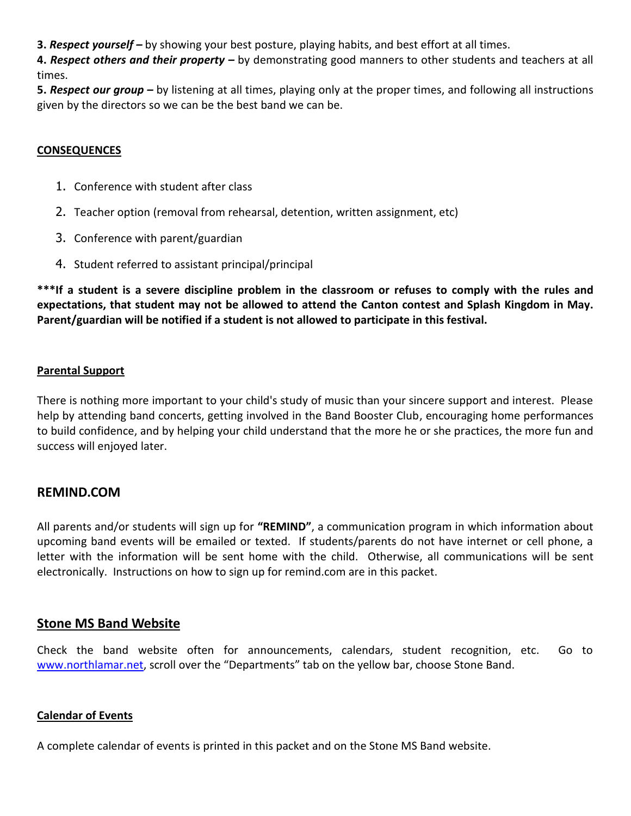**3.** *Respect yourself –* by showing your best posture, playing habits, and best effort at all times.

**4.** *Respect others and their property –* by demonstrating good manners to other students and teachers at all times.

**5.** *Respect our group –* by listening at all times, playing only at the proper times, and following all instructions given by the directors so we can be the best band we can be.

#### **CONSEQUENCES**

- 1. Conference with student after class
- 2. Teacher option (removal from rehearsal, detention, written assignment, etc)
- 3. Conference with parent/guardian
- 4. Student referred to assistant principal/principal

**\*\*\*If a student is a severe discipline problem in the classroom or refuses to comply with the rules and expectations, that student may not be allowed to attend the Canton contest and Splash Kingdom in May. Parent/guardian will be notified if a student is not allowed to participate in this festival.**

#### **Parental Support**

There is nothing more important to your child's study of music than your sincere support and interest. Please help by attending band concerts, getting involved in the Band Booster Club, encouraging home performances to build confidence, and by helping your child understand that the more he or she practices, the more fun and success will enjoyed later.

# **REMIND.COM**

All parents and/or students will sign up for **"REMIND"**, a communication program in which information about upcoming band events will be emailed or texted. If students/parents do not have internet or cell phone, a letter with the information will be sent home with the child. Otherwise, all communications will be sent electronically. Instructions on how to sign up for remind.com are in this packet.

# **Stone MS Band Website**

Check the band website often for announcements, calendars, student recognition, etc. Go to [www.northlamar.net](http://www.northlamar.net/), scroll over the "Departments" tab on the yellow bar, choose Stone Band.

#### **Calendar of Events**

A complete calendar of events is printed in this packet and on the Stone MS Band website.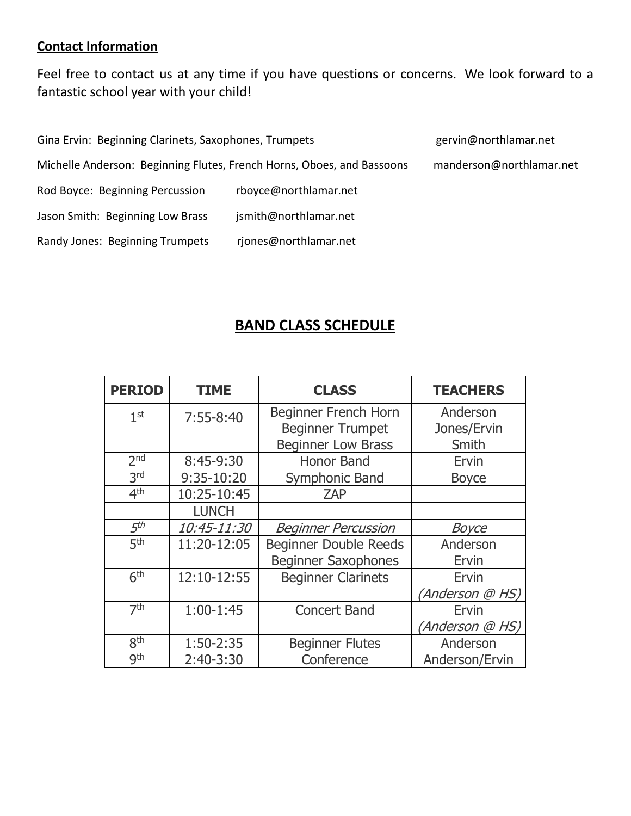# **Contact Information**

Feel free to contact us at any time if you have questions or concerns. We look forward to a fantastic school year with your child!

| Gina Ervin: Beginning Clarinets, Saxophones, Trumpets                  | gervin@northlamar.net |                          |
|------------------------------------------------------------------------|-----------------------|--------------------------|
| Michelle Anderson: Beginning Flutes, French Horns, Oboes, and Bassoons |                       | manderson@northlamar.net |
| Rod Boyce: Beginning Percussion                                        | rboyce@northlamar.net |                          |
| Jason Smith: Beginning Low Brass                                       | jsmith@northlamar.net |                          |
| Randy Jones: Beginning Trumpets                                        | rjones@northlamar.net |                          |

# **BAND CLASS SCHEDULE**

| <b>PERIOD</b>   | <b>TIME</b>  | <b>CLASS</b>                 | <b>TEACHERS</b> |
|-----------------|--------------|------------------------------|-----------------|
| 1 <sup>st</sup> | $7:55-8:40$  | Beginner French Horn         | Anderson        |
|                 |              | <b>Beginner Trumpet</b>      | Jones/Ervin     |
|                 |              | <b>Beginner Low Brass</b>    | Smith           |
| 2 <sub>nd</sub> | 8:45-9:30    | Honor Band                   | Ervin           |
| 3rd             | 9:35-10:20   | Symphonic Band               | <b>Boyce</b>    |
| 4 <sup>th</sup> | 10:25-10:45  | <b>ZAP</b>                   |                 |
|                 | <b>LUNCH</b> |                              |                 |
| 5 <sup>th</sup> | 10:45-11:30  | <b>Beginner Percussion</b>   | <b>Boyce</b>    |
| 5 <sup>th</sup> | 11:20-12:05  | <b>Beginner Double Reeds</b> | Anderson        |
|                 |              | <b>Beginner Saxophones</b>   | Ervin           |
| 6 <sup>th</sup> | 12:10-12:55  | <b>Beginner Clarinets</b>    | Ervin           |
|                 |              |                              | (Anderson @ HS) |
| 7 <sup>th</sup> | $1:00-1:45$  | <b>Concert Band</b>          | Ervin           |
|                 |              |                              | (Anderson @ HS) |
| 8 <sup>th</sup> | 1:50-2:35    | <b>Beginner Flutes</b>       | Anderson        |
| gth             | $2:40-3:30$  | Conference                   | Anderson/Ervin  |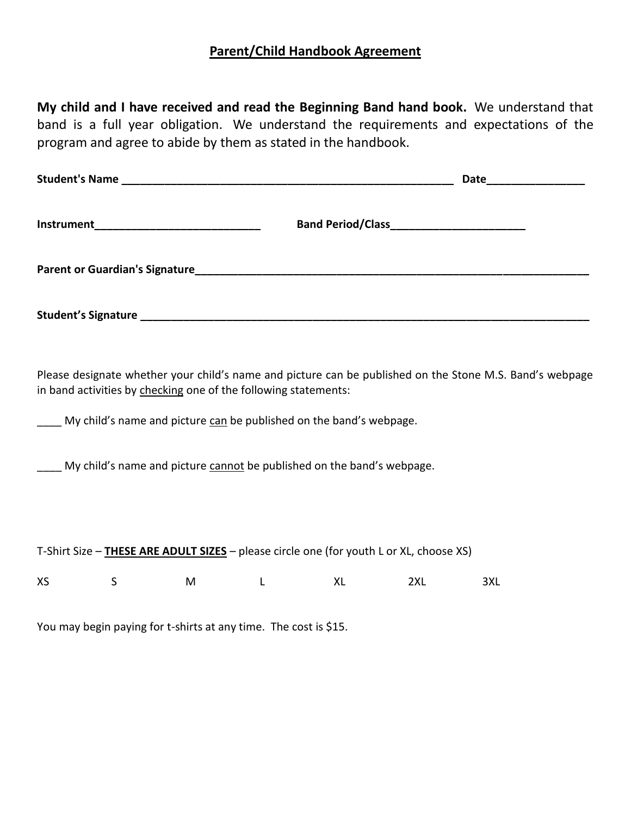# **Parent/Child Handbook Agreement**

**My child and I have received and read the Beginning Band hand book.** We understand that band is a full year obligation. We understand the requirements and expectations of the program and agree to abide by them as stated in the handbook.

| Student's Name                                                                                                                                                                                                                                     | Date_________________ |
|----------------------------------------------------------------------------------------------------------------------------------------------------------------------------------------------------------------------------------------------------|-----------------------|
|                                                                                                                                                                                                                                                    |                       |
|                                                                                                                                                                                                                                                    |                       |
|                                                                                                                                                                                                                                                    |                       |
| Please designate whether your child's name and picture can be published on the Stone M.S. Band's webpage<br>in band activities by checking one of the following statements:<br>My child's name and picture can be published on the band's webpage. |                       |
| My child's name and picture cannot be published on the band's webpage.                                                                                                                                                                             |                       |
|                                                                                                                                                                                                                                                    |                       |

| T-Shirt Size - THESE ARE ADULT SIZES - please circle one (for youth L or XL, choose XS) |  |  |
|-----------------------------------------------------------------------------------------|--|--|
|                                                                                         |  |  |

XS S M L XL 2XL 3XL

You may begin paying for t-shirts at any time. The cost is \$15.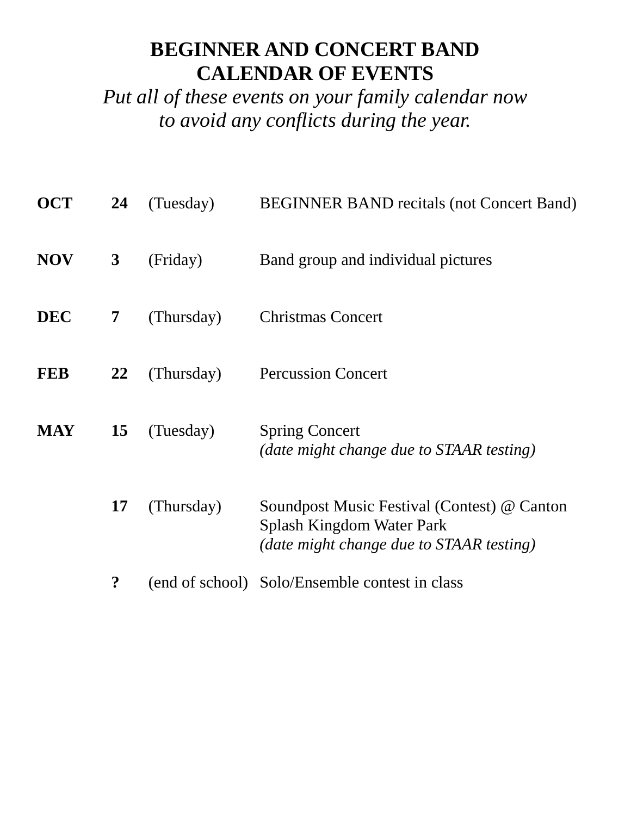# **BEGINNER AND CONCERT BAND CALENDAR OF EVENTS**

*Put all of these events on your family calendar now to avoid any conflicts during the year.*

| <b>OCT</b> | 24               | (Tuesday)  | <b>BEGINNER BAND</b> recitals (not Concert Band)                                                                     |
|------------|------------------|------------|----------------------------------------------------------------------------------------------------------------------|
| <b>NOV</b> | $\mathbf{3}$     | (Friday)   | Band group and individual pictures                                                                                   |
| <b>DEC</b> | 7                | (Thursday) | <b>Christmas Concert</b>                                                                                             |
| <b>FEB</b> | <u>22</u>        | (Thursday) | <b>Percussion Concert</b>                                                                                            |
| <b>MAY</b> | 15               | (Tuesday)  | <b>Spring Concert</b><br>(date might change due to STAAR testing)                                                    |
|            | 17               | (Thursday) | Soundpost Music Festival (Contest) @ Canton<br>Splash Kingdom Water Park<br>(date might change due to STAAR testing) |
|            | $\boldsymbol{?}$ |            | (end of school) Solo/Ensemble contest in class                                                                       |